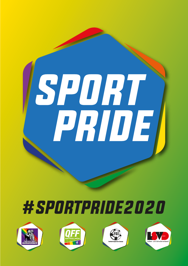

## #SPORTPRIDE2020